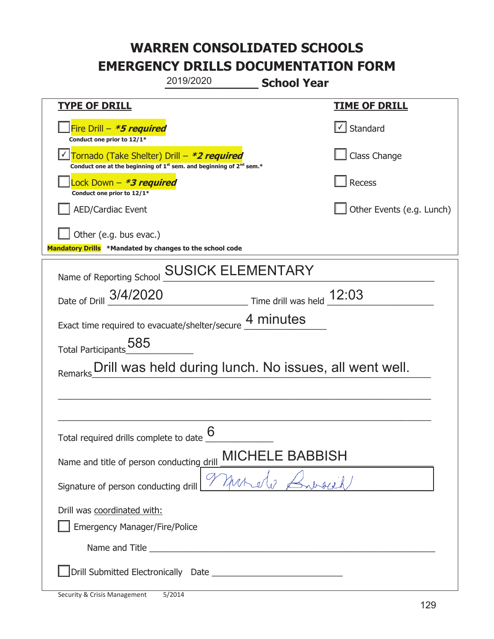| 2019/2020<br><b>School Year</b>                                                                                                           |                           |  |
|-------------------------------------------------------------------------------------------------------------------------------------------|---------------------------|--|
| <b>TYPE OF DRILL</b>                                                                                                                      | <u>TIME OF DRILL</u>      |  |
| Fire Drill $-$ <b>*5 required</b><br>Conduct one prior to 12/1*                                                                           | $\cup$ Standard           |  |
| Tornado (Take Shelter) Drill - *2 required<br>Conduct one at the beginning of 1 <sup>st</sup> sem. and beginning of 2 <sup>nd</sup> sem.* | Class Change              |  |
| Lock Down - <b>*3 required</b><br>Conduct one prior to 12/1*                                                                              | Recess                    |  |
| <b>AED/Cardiac Event</b>                                                                                                                  | Other Events (e.g. Lunch) |  |
| Other (e.g. bus evac.)<br>Mandatory Drills *Mandated by changes to the school code                                                        |                           |  |
| Name of Reporting School <b>SUSICK ELEMENTARY</b>                                                                                         |                           |  |
| $\frac{12:03}{\frac{1}{200}}$ Time drill was held $\frac{12:03}{\frac{1}{200}}$<br>Date of Drill 3/4/2020                                 |                           |  |
| Exact time required to evacuate/shelter/secure 4 minutes                                                                                  |                           |  |
| Total Participants 585                                                                                                                    |                           |  |
| Drill was held during lunch. No issues, all went well.<br>Remarks                                                                         |                           |  |
|                                                                                                                                           |                           |  |
|                                                                                                                                           |                           |  |
| 6<br>Total required drills complete to date                                                                                               |                           |  |
| <b>MICHELE BABBISH</b><br>Name and title of person conducting drill                                                                       |                           |  |
| Signature of person conducting drill                                                                                                      |                           |  |
| Drill was coordinated with:<br>Emergency Manager/Fire/Police                                                                              |                           |  |
|                                                                                                                                           |                           |  |
|                                                                                                                                           |                           |  |

t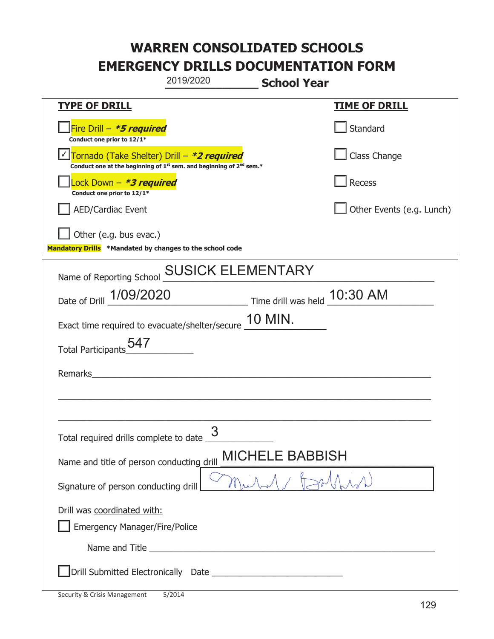|                                                                                    | 2019/2020                                                                                   | <b>School Year</b>           |                           |
|------------------------------------------------------------------------------------|---------------------------------------------------------------------------------------------|------------------------------|---------------------------|
| <b>TYPE OF DRILL</b>                                                               |                                                                                             |                              | <b>TIME OF DRILL</b>      |
| Fire Drill - *5 required<br>Conduct one prior to 12/1*                             |                                                                                             |                              | Standard                  |
| Tornado (Take Shelter) Drill – *2 required                                         | Conduct one at the beginning of 1 <sup>st</sup> sem. and beginning of 2 <sup>nd</sup> sem.* |                              | Class Change              |
| Lock Down - *3 required<br>Conduct one prior to 12/1*                              |                                                                                             |                              | Recess                    |
| <b>AED/Cardiac Event</b>                                                           |                                                                                             |                              | Other Events (e.g. Lunch) |
| Other (e.g. bus evac.)<br>Mandatory Drills *Mandated by changes to the school code |                                                                                             |                              |                           |
| Name of Reporting School                                                           | <b>SUSICK ELEMENTARY</b>                                                                    |                              |                           |
| Date of Drill 1/09/2020                                                            |                                                                                             | Time drill was held 10:30 AM |                           |
| Exact time required to evacuate/shelter/secure 10 MIN.                             |                                                                                             |                              |                           |
| <b>Total Participants</b>                                                          |                                                                                             |                              |                           |
| Remarks                                                                            |                                                                                             |                              |                           |
|                                                                                    |                                                                                             |                              |                           |
| Total required drills complete to date <u>U</u>                                    | 3                                                                                           |                              |                           |
| <b>MICHELE BABBISH</b><br>Name and title of person conducting drill                |                                                                                             |                              |                           |
| Signature of person conducting drill                                               |                                                                                             |                              |                           |
| Drill was coordinated with:<br><b>Emergency Manager/Fire/Police</b>                |                                                                                             |                              |                           |
|                                                                                    |                                                                                             |                              |                           |
|                                                                                    |                                                                                             |                              |                           |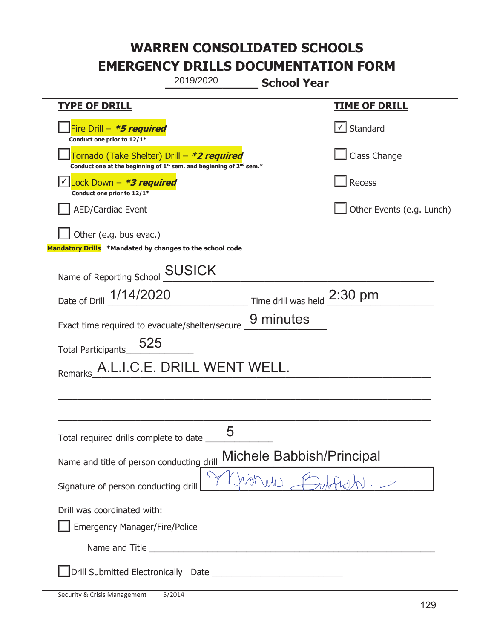|                                                                                                                                           | 2019/2020                   | <b>School Year</b>          |                           |
|-------------------------------------------------------------------------------------------------------------------------------------------|-----------------------------|-----------------------------|---------------------------|
| <u>TYPE OF DRILL</u>                                                                                                                      |                             |                             | <u>TIME OF DRILL</u>      |
| Fire Drill - *5 required<br>Conduct one prior to 12/1*                                                                                    |                             |                             | Standard                  |
| Tornado (Take Shelter) Drill – *2 required<br>Conduct one at the beginning of 1 <sup>st</sup> sem. and beginning of 2 <sup>nd</sup> sem.* |                             |                             | Class Change              |
| Lock Down - <b>*3 required</b><br>Conduct one prior to 12/1*                                                                              |                             |                             | Recess                    |
| <b>AED/Cardiac Event</b>                                                                                                                  |                             |                             | Other Events (e.g. Lunch) |
| Other (e.g. bus evac.)<br>Mandatory Drills *Mandated by changes to the school code                                                        |                             |                             |                           |
| Name of Reporting School                                                                                                                  | <b>SUSICK</b>               |                             |                           |
| Date of Drill 1/14/2020                                                                                                                   |                             | Time drill was held 2:30 pm |                           |
| Exact time required to evacuate/shelter/secure                                                                                            |                             | 9 minutes                   |                           |
| 525<br><b>Total Participants</b>                                                                                                          |                             |                             |                           |
| Remarks                                                                                                                                   | A.L.I.C.E. DRILL WENT WELL. |                             |                           |
|                                                                                                                                           |                             |                             |                           |
|                                                                                                                                           |                             |                             |                           |
| Total required drills complete to date ___                                                                                                | 5                           |                             |                           |
| Michele Babbish/Principal<br>Name and title of person conducting drill                                                                    |                             |                             |                           |
| hichele<br>Signature of person conducting drill                                                                                           |                             |                             |                           |
| Drill was coordinated with:                                                                                                               |                             |                             |                           |
| <b>Emergency Manager/Fire/Police</b>                                                                                                      |                             |                             |                           |
|                                                                                                                                           |                             |                             |                           |
|                                                                                                                                           |                             |                             |                           |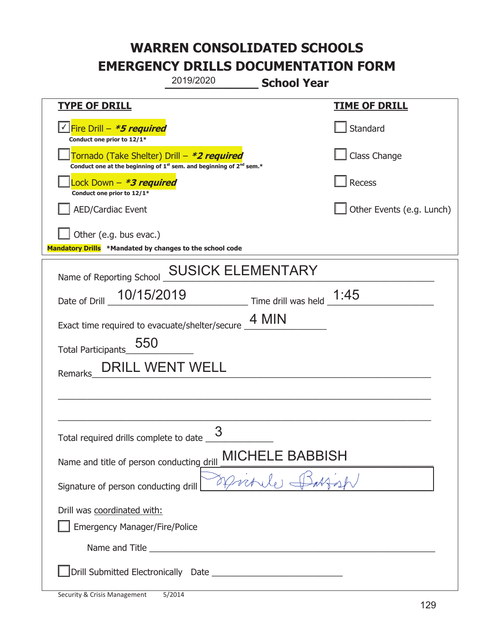|                                                                                    | 2019/2020<br><b>School Year</b>                                                             |                           |
|------------------------------------------------------------------------------------|---------------------------------------------------------------------------------------------|---------------------------|
| <b>TYPE OF DRILL</b>                                                               |                                                                                             | <u>TIME OF DRILL</u>      |
| <u>√ Fire Drill – <i>*5 required</i></u><br>Conduct one prior to 12/1*             |                                                                                             | Standard                  |
| Tornado (Take Shelter) Drill – *2 required                                         | Conduct one at the beginning of 1 <sup>st</sup> sem. and beginning of 2 <sup>nd</sup> sem.* | Class Change              |
| Lock Down – <b>*3 required</b><br>Conduct one prior to 12/1*                       |                                                                                             | Recess                    |
| <b>AED/Cardiac Event</b>                                                           |                                                                                             | Other Events (e.g. Lunch) |
| Other (e.g. bus evac.)<br>Mandatory Drills *Mandated by changes to the school code |                                                                                             |                           |
| Name of Reporting School                                                           | <b>SUSICK ELEMENTARY</b>                                                                    |                           |
| 10/15/2019<br>Date of Drill                                                        | Time drill was held $\_1:45$                                                                |                           |
| Exact time required to evacuate/shelter/secure                                     | 4 MIN                                                                                       |                           |
| 550<br><b>Total Participants</b>                                                   |                                                                                             |                           |
| DRILL WENT WELL<br>Remarks                                                         |                                                                                             |                           |
|                                                                                    |                                                                                             |                           |
|                                                                                    |                                                                                             |                           |
| Total required drills complete to date _____                                       | 3                                                                                           |                           |
| <b>MICHELE BABBISH</b><br>Name and title of person conducting drill                |                                                                                             |                           |
| Monde H<br>Signature of person conducting drill                                    |                                                                                             |                           |
| Drill was coordinated with:<br><b>Emergency Manager/Fire/Police</b>                |                                                                                             |                           |
|                                                                                    |                                                                                             |                           |
|                                                                                    |                                                                                             |                           |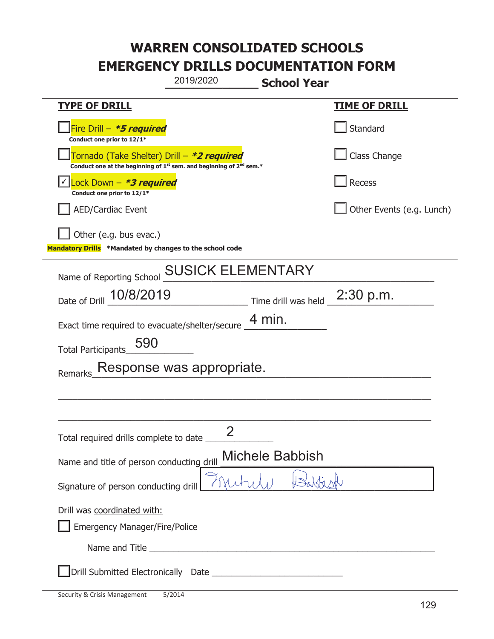|                                                                                    | 2019/2020<br><b>School Year</b>                                                             |                           |
|------------------------------------------------------------------------------------|---------------------------------------------------------------------------------------------|---------------------------|
| <u>TYPE OF DRILL</u>                                                               |                                                                                             | <b>TIME OF DRILL</b>      |
| Fire Drill - *5 required<br>Conduct one prior to 12/1*                             |                                                                                             | Standard                  |
| Tornado (Take Shelter) Drill – *2 required                                         | Conduct one at the beginning of 1 <sup>st</sup> sem. and beginning of 2 <sup>nd</sup> sem.* | Class Change              |
| Lock Down - *3 required<br>Conduct one prior to 12/1*                              |                                                                                             | Recess                    |
| <b>AED/Cardiac Event</b>                                                           |                                                                                             | Other Events (e.g. Lunch) |
| Other (e.g. bus evac.)<br>Mandatory Drills *Mandated by changes to the school code |                                                                                             |                           |
| Name of Reporting School                                                           | <b>SUSICK ELEMENTARY</b>                                                                    |                           |
| Date of Drill 10/8/2019                                                            | $\frac{1}{2}$ Time drill was held $\frac{1}{2}$ 2:30 p.m.                                   |                           |
| Exact time required to evacuate/shelter/secure                                     | 4 min.                                                                                      |                           |
| 590<br><b>Total Participants</b>                                                   |                                                                                             |                           |
| Remarks                                                                            | Response was appropriate.                                                                   |                           |
|                                                                                    |                                                                                             |                           |
|                                                                                    |                                                                                             |                           |
| Total required drills complete to date                                             | つ                                                                                           |                           |
| Name and title of person conducting drill                                          | <b>Michele Babbish</b>                                                                      |                           |
| Signature of person conducting drill                                               |                                                                                             |                           |
| Drill was coordinated with:<br><b>Emergency Manager/Fire/Police</b>                |                                                                                             |                           |
|                                                                                    |                                                                                             |                           |
|                                                                                    |                                                                                             |                           |